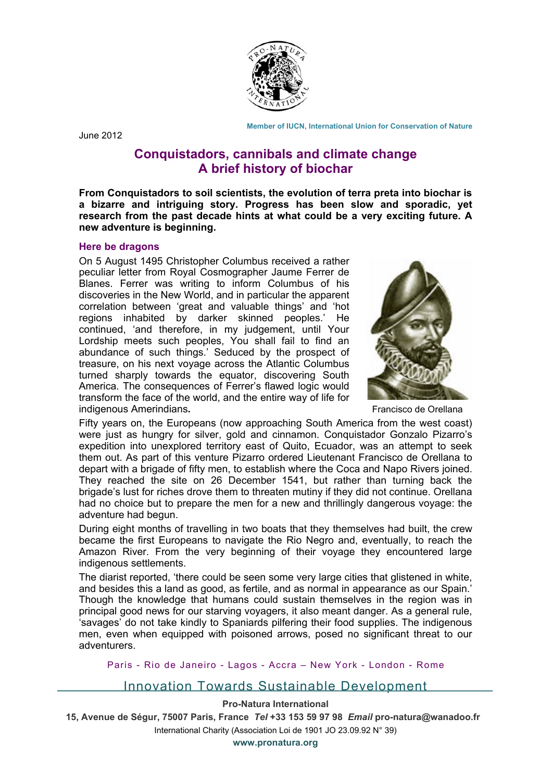

 **Member of IUCN, International Union for Conservation of Nature**

June 2012

# **Conquistadors, cannibals and climate change A brief history of biochar**

**From Conquistadors to soil scientists, the evolution of terra preta into biochar is a bizarre and intriguing story. Progress has been slow and sporadic, yet research from the past decade hints at what could be a very exciting future. A new adventure is beginning.**

## **Here be dragons**

On 5 August 1495 Christopher Columbus received a rather peculiar letter from Royal Cosmographer Jaume Ferrer de Blanes. Ferrer was writing to inform Columbus of his discoveries in the New World, and in particular the apparent correlation between 'great and valuable things' and 'hot regions inhabited by darker skinned peoples.' He continued, 'and therefore, in my judgement, until Your Lordship meets such peoples, You shall fail to find an abundance of such things.' Seduced by the prospect of treasure, on his next voyage across the Atlantic Columbus turned sharply towards the equator, discovering South America. The consequences of Ferrer's flawed logic would transform the face of the world, and the entire way of life for indigenous Amerindians**.** Francisco de Orellana



Fifty years on, the Europeans (now approaching South America from the west coast) were just as hungry for silver, gold and cinnamon. Conquistador Gonzalo Pizarro's expedition into unexplored territory east of Quito, Ecuador, was an attempt to seek them out. As part of this venture Pizarro ordered Lieutenant Francisco de Orellana to depart with a brigade of fifty men, to establish where the Coca and Napo Rivers joined. They reached the site on 26 December 1541, but rather than turning back the brigade's lust for riches drove them to threaten mutiny if they did not continue. Orellana had no choice but to prepare the men for a new and thrillingly dangerous voyage: the adventure had begun.

During eight months of travelling in two boats that they themselves had built, the crew became the first Europeans to navigate the Rio Negro and, eventually, to reach the Amazon River. From the very beginning of their voyage they encountered large indigenous settlements.

The diarist reported, 'there could be seen some very large cities that glistened in white, and besides this a land as good, as fertile, and as normal in appearance as our Spain.' Though the knowledge that humans could sustain themselves in the region was in principal good news for our starving voyagers, it also meant danger. As a general rule, 'savages' do not take kindly to Spaniards pilfering their food supplies. The indigenous men, even when equipped with poisoned arrows, posed no significant threat to our adventurers.

Paris - Rio de Janeiro - Lagos - Accra – New York - London - Rome

## Innovation Towards Sustainable Development

## **Pro-Natura International**

**15, Avenue de Ségur, 75007 Paris, France** *Tel* **+33 153 59 97 98** *Email* **pro-natura@wanadoo.fr**  International Charity (Association Loi de 1901 JO 23.09.92 N° 39) **www.pronatura.org**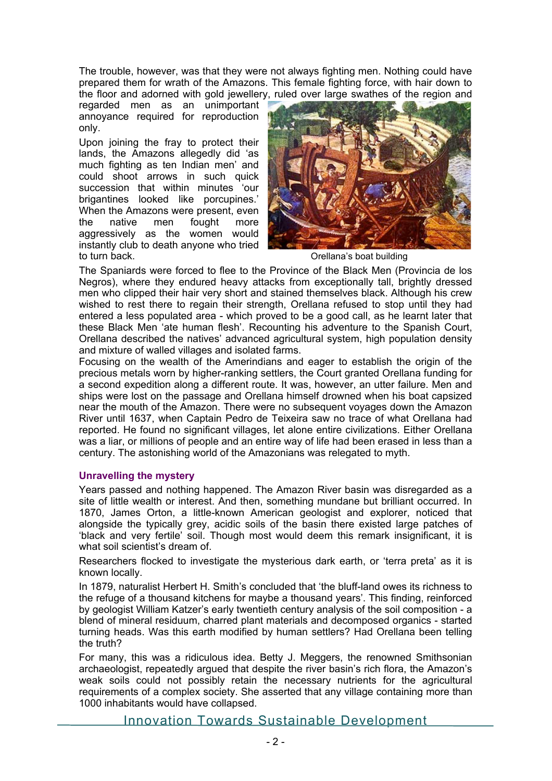The trouble, however, was that they were not always fighting men. Nothing could have prepared them for wrath of the Amazons. This female fighting force, with hair down to the floor and adorned with gold jewellery, ruled over large swathes of the region and

regarded men as an unimportant annoyance required for reproduction only.

Upon joining the fray to protect their lands, the Amazons allegedly did 'as much fighting as ten Indian men' and could shoot arrows in such quick succession that within minutes 'our brigantines looked like porcupines.' When the Amazons were present, even the native men fought more aggressively as the women would instantly club to death anyone who tried to turn back. **Contract to turn back**.



The Spaniards were forced to flee to the Province of the Black Men (Provincia de los Negros), where they endured heavy attacks from exceptionally tall, brightly dressed men who clipped their hair very short and stained themselves black. Although his crew wished to rest there to regain their strength, Orellana refused to stop until they had entered a less populated area - which proved to be a good call, as he learnt later that these Black Men 'ate human flesh'. Recounting his adventure to the Spanish Court, Orellana described the natives' advanced agricultural system, high population density and mixture of walled villages and isolated farms.

Focusing on the wealth of the Amerindians and eager to establish the origin of the precious metals worn by higher-ranking settlers, the Court granted Orellana funding for a second expedition along a different route. It was, however, an utter failure. Men and ships were lost on the passage and Orellana himself drowned when his boat capsized near the mouth of the Amazon. There were no subsequent voyages down the Amazon River until 1637, when Captain Pedro de Teixeira saw no trace of what Orellana had reported. He found no significant villages, let alone entire civilizations. Either Orellana was a liar, or millions of people and an entire way of life had been erased in less than a century. The astonishing world of the Amazonians was relegated to myth.

## **Unravelling the mystery**

Years passed and nothing happened. The Amazon River basin was disregarded as a site of little wealth or interest. And then, something mundane but brilliant occurred. In 1870, James Orton, a little-known American geologist and explorer, noticed that alongside the typically grey, acidic soils of the basin there existed large patches of 'black and very fertile' soil. Though most would deem this remark insignificant, it is what soil scientist's dream of.

Researchers flocked to investigate the mysterious dark earth, or 'terra preta' as it is known locally.

In 1879, naturalist Herbert H. Smith's concluded that 'the bluff-land owes its richness to the refuge of a thousand kitchens for maybe a thousand years'. This finding, reinforced by geologist William Katzer's early twentieth century analysis of the soil composition - a blend of mineral residuum, charred plant materials and decomposed organics - started turning heads. Was this earth modified by human settlers? Had Orellana been telling the truth?

For many, this was a ridiculous idea. Betty J. Meggers, the renowned Smithsonian archaeologist, repeatedly argued that despite the river basin's rich flora, the Amazon's weak soils could not possibly retain the necessary nutrients for the agricultural requirements of a complex society. She asserted that any village containing more than 1000 inhabitants would have collapsed.

Innovation Towards Sustainable Development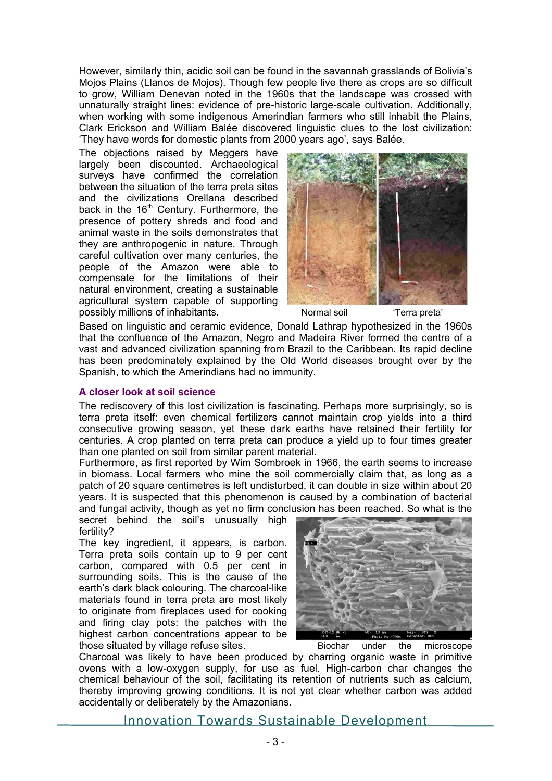However, similarly thin, acidic soil can be found in the savannah grasslands of Bolivia's Mojos Plains (Llanos de Mojos). Though few people live there as crops are so difficult to grow, William Denevan noted in the 1960s that the landscape was crossed with unnaturally straight lines: evidence of pre-historic large-scale cultivation. Additionally, when working with some indigenous Amerindian farmers who still inhabit the Plains, Clark Erickson and William Balée discovered linguistic clues to the lost civilization: 'They have words for domestic plants from 2000 years ago', says Balée.

The objections raised by Meggers have largely been discounted. Archaeological surveys have confirmed the correlation between the situation of the terra preta sites and the civilizations Orellana described back in the  $16<sup>th</sup>$  Century. Furthermore, the presence of pottery shreds and food and animal waste in the soils demonstrates that they are anthropogenic in nature. Through careful cultivation over many centuries, the people of the Amazon were able to compensate for the limitations of their natural environment, creating a sustainable agricultural system capable of supporting possibly millions of inhabitants. Normal soil 'Terra preta'



Based on linguistic and ceramic evidence, Donald Lathrap hypothesized in the 1960s that the confluence of the Amazon, Negro and Madeira River formed the centre of a vast and advanced civilization spanning from Brazil to the Caribbean. Its rapid decline has been predominately explained by the Old World diseases brought over by the Spanish, to which the Amerindians had no immunity.

### **A closer look at soil science**

The rediscovery of this lost civilization is fascinating. Perhaps more surprisingly, so is terra preta itself: even chemical fertilizers cannot maintain crop yields into a third consecutive growing season, yet these dark earths have retained their fertility for centuries. A crop planted on terra preta can produce a yield up to four times greater than one planted on soil from similar parent material.

Furthermore, as first reported by Wim Sombroek in 1966, the earth seems to increase in biomass. Local farmers who mine the soil commercially claim that, as long as a patch of 20 square centimetres is left undisturbed, it can double in size within about 20 years. It is suspected that this phenomenon is caused by a combination of bacterial and fungal activity, though as yet no firm conclusion has been reached. So what is the

secret behind the soil's unusually high fertility?

The key ingredient, it appears, is carbon. Terra preta soils contain up to 9 per cent carbon, compared with 0.5 per cent in surrounding soils. This is the cause of the earth's dark black colouring. The charcoal-like materials found in terra preta are most likely to originate from fireplaces used for cooking and firing clay pots: the patches with the highest carbon concentrations appear to be those situated by village refuse sites. Biochar under the microscope



Charcoal was likely to have been produced by charring organic waste in primitive ovens with a low-oxygen supply, for use as fuel. High-carbon char changes the chemical behaviour of the soil, facilitating its retention of nutrients such as calcium, thereby improving growing conditions. It is not yet clear whether carbon was added accidentally or deliberately by the Amazonians.

Innovation Towards Sustainable Development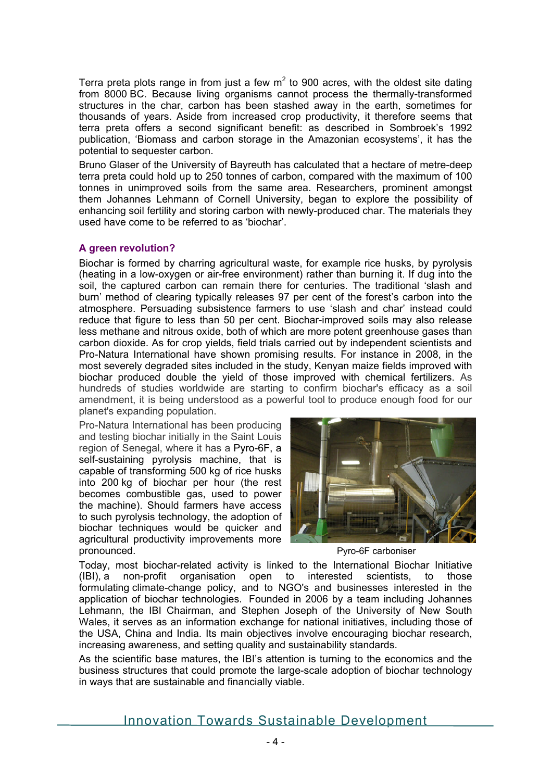Terra preta plots range in from just a few  $m<sup>2</sup>$  to 900 acres, with the oldest site dating from 8000 BC. Because living organisms cannot process the thermally-transformed structures in the char, carbon has been stashed away in the earth, sometimes for thousands of years. Aside from increased crop productivity, it therefore seems that terra preta offers a second significant benefit: as described in Sombroek's 1992 publication, 'Biomass and carbon storage in the Amazonian ecosystems', it has the potential to sequester carbon.

Bruno Glaser of the University of Bayreuth has calculated that a hectare of metre-deep terra preta could hold up to 250 tonnes of carbon, compared with the maximum of 100 tonnes in unimproved soils from the same area. Researchers, prominent amongst them Johannes Lehmann of Cornell University, began to explore the possibility of enhancing soil fertility and storing carbon with newly-produced char. The materials they used have come to be referred to as 'biochar'.

#### **A green revolution?**

Biochar is formed by charring agricultural waste, for example rice husks, by pyrolysis (heating in a low-oxygen or air-free environment) rather than burning it. If dug into the soil, the captured carbon can remain there for centuries. The traditional 'slash and burn' method of clearing typically releases 97 per cent of the forest's carbon into the atmosphere. Persuading subsistence farmers to use 'slash and char' instead could reduce that figure to less than 50 per cent. Biochar-improved soils may also release less methane and nitrous oxide, both of which are more potent greenhouse gases than carbon dioxide. As for crop yields, field trials carried out by independent scientists and Pro-Natura International have shown promising results. For instance in 2008, in the most severely degraded sites included in the study, Kenyan maize fields improved with biochar produced double the yield of those improved with chemical fertilizers. As hundreds of studies worldwide are starting to confirm biochar's efficacy as a soil amendment, it is being understood as a powerful tool to produce enough food for our planet's expanding population.

Pro-Natura International has been producing and testing biochar initially in the Saint Louis region of Senegal, where it has a Pyro-6F, a self-sustaining pyrolysis machine, that is capable of transforming 500 kg of rice husks into 200 kg of biochar per hour (the rest becomes combustible gas, used to power the machine). Should farmers have access to such pyrolysis technology, the adoption of biochar techniques would be quicker and agricultural productivity improvements more pronounced. Pyro-6F carboniser



Today, most biochar-related activity is linked to the International Biochar Initiative (IBI), a non-profit organisation open to interested scientists, to those formulating climate-change policy, and to NGO's and businesses interested in the application of biochar technologies. Founded in 2006 by a team including Johannes Lehmann, the IBI Chairman, and Stephen Joseph of the University of New South Wales, it serves as an information exchange for national initiatives, including those of the USA, China and India. Its main objectives involve encouraging biochar research, increasing awareness, and setting quality and sustainability standards.

As the scientific base matures, the IBI's attention is turning to the economics and the business structures that could promote the large-scale adoption of biochar technology in ways that are sustainable and financially viable.